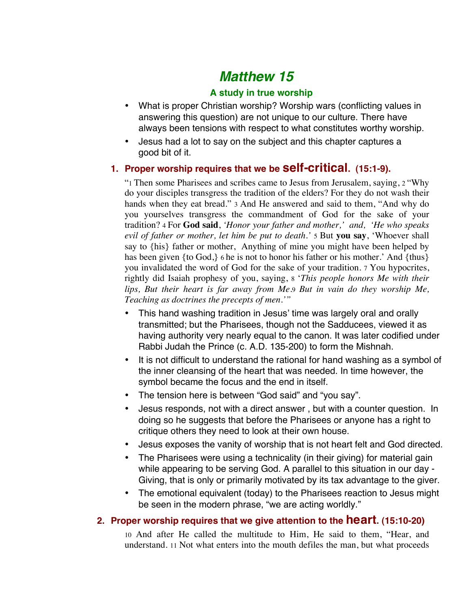# *Matthew 15*

## **A study in true worship**

- What is proper Christian worship? Worship wars (conflicting values in answering this question) are not unique to our culture. There have always been tensions with respect to what constitutes worthy worship.
- Jesus had a lot to say on the subject and this chapter captures a good bit of it.

# **1. Proper worship requires that we be self-critical. (15:1-9).**

"1 Then some Pharisees and scribes came to Jesus from Jerusalem, saying, 2 "Why do your disciples transgress the tradition of the elders? For they do not wash their hands when they eat bread." 3 And He answered and said to them, "And why do you yourselves transgress the commandment of God for the sake of your tradition? 4 For **God said**, *'Honor your father and mother,' and, 'He who speaks evil of father or mother, let him be put to death.'* 5 But **you say**, 'Whoever shall say to {his} father or mother, Anything of mine you might have been helped by has been given {to God,} 6 he is not to honor his father or his mother.' And {thus} you invalidated the word of God for the sake of your tradition. 7 You hypocrites, rightly did Isaiah prophesy of you, saying, 8 '*This people honors Me with their lips, But their heart is far away from Me.*9 *But in vain do they worship Me, Teaching as doctrines the precepts of men.'"*

- This hand washing tradition in Jesus' time was largely oral and orally transmitted; but the Pharisees, though not the Sadducees, viewed it as having authority very nearly equal to the canon. It was later codified under Rabbi Judah the Prince (c. A.D. 135-200) to form the Mishnah.
- It is not difficult to understand the rational for hand washing as a symbol of the inner cleansing of the heart that was needed. In time however, the symbol became the focus and the end in itself.
- The tension here is between "God said" and "you say".
- Jesus responds, not with a direct answer , but with a counter question. In doing so he suggests that before the Pharisees or anyone has a right to critique others they need to look at their own house.
- Jesus exposes the vanity of worship that is not heart felt and God directed.
- The Pharisees were using a technicality (in their giving) for material gain while appearing to be serving God. A parallel to this situation in our day - Giving, that is only or primarily motivated by its tax advantage to the giver.
- The emotional equivalent (today) to the Pharisees reaction to Jesus might be seen in the modern phrase, "we are acting worldly."

# **2. Proper worship requires that we give attention to the heart. (15:10-20)**

10 And after He called the multitude to Him, He said to them, "Hear, and understand. 11 Not what enters into the mouth defiles the man, but what proceeds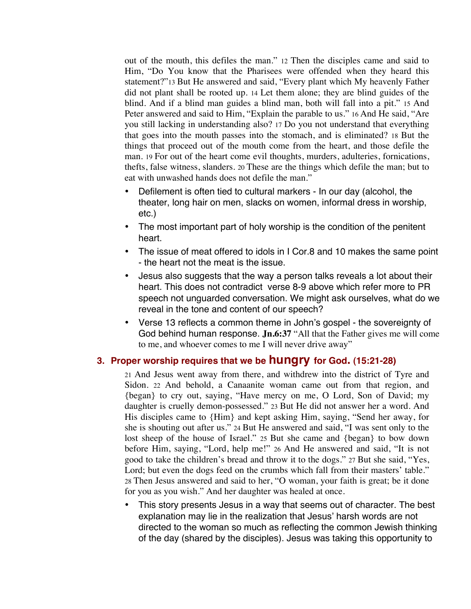out of the mouth, this defiles the man." 12 Then the disciples came and said to Him, "Do You know that the Pharisees were offended when they heard this statement?"13 But He answered and said, "Every plant which My heavenly Father did not plant shall be rooted up. 14 Let them alone; they are blind guides of the blind. And if a blind man guides a blind man, both will fall into a pit." 15 And Peter answered and said to Him, "Explain the parable to us." 16 And He said, "Are you still lacking in understanding also? 17 Do you not understand that everything that goes into the mouth passes into the stomach, and is eliminated? 18 But the things that proceed out of the mouth come from the heart, and those defile the man. 19 For out of the heart come evil thoughts, murders, adulteries, fornications, thefts, false witness, slanders. 20 These are the things which defile the man; but to eat with unwashed hands does not defile the man."

- Defilement is often tied to cultural markers In our day (alcohol, the theater, long hair on men, slacks on women, informal dress in worship, etc.)
- The most important part of holy worship is the condition of the penitent heart.
- The issue of meat offered to idols in I Cor.8 and 10 makes the same point - the heart not the meat is the issue.
- Jesus also suggests that the way a person talks reveals a lot about their heart. This does not contradict verse 8-9 above which refer more to PR speech not unguarded conversation. We might ask ourselves, what do we reveal in the tone and content of our speech?
- Verse 13 reflects a common theme in John's gospel the sovereignty of God behind human response. **Jn.6:37** "All that the Father gives me will come to me, and whoever comes to me I will never drive away"

#### **3. Proper worship requires that we be hungry for God. (15:21-28)**

21 And Jesus went away from there, and withdrew into the district of Tyre and Sidon. 22 And behold, a Canaanite woman came out from that region, and {began} to cry out, saying, "Have mercy on me, O Lord, Son of David; my daughter is cruelly demon-possessed." 23 But He did not answer her a word. And His disciples came to {Him} and kept asking Him, saying, "Send her away, for she is shouting out after us." 24 But He answered and said, "I was sent only to the lost sheep of the house of Israel." 25 But she came and {began} to bow down before Him, saying, "Lord, help me!" 26 And He answered and said, "It is not good to take the children's bread and throw it to the dogs." 27 But she said, "Yes, Lord; but even the dogs feed on the crumbs which fall from their masters' table." 28 Then Jesus answered and said to her, "O woman, your faith is great; be it done for you as you wish." And her daughter was healed at once.

• This story presents Jesus in a way that seems out of character. The best explanation may lie in the realization that Jesus' harsh words are not directed to the woman so much as reflecting the common Jewish thinking of the day (shared by the disciples). Jesus was taking this opportunity to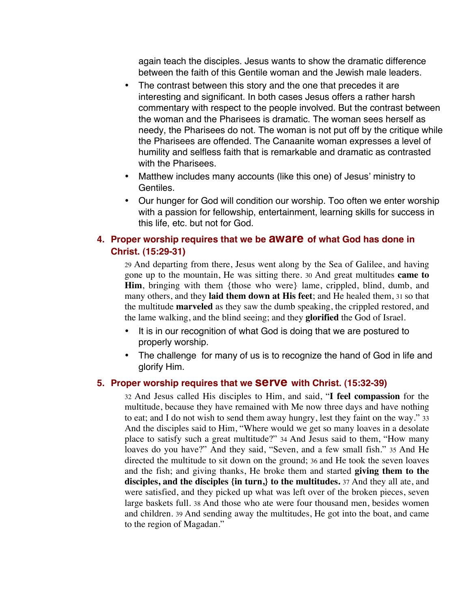again teach the disciples. Jesus wants to show the dramatic difference between the faith of this Gentile woman and the Jewish male leaders.

- The contrast between this story and the one that precedes it are interesting and significant. In both cases Jesus offers a rather harsh commentary with respect to the people involved. But the contrast between the woman and the Pharisees is dramatic. The woman sees herself as needy, the Pharisees do not. The woman is not put off by the critique while the Pharisees are offended. The Canaanite woman expresses a level of humility and selfless faith that is remarkable and dramatic as contrasted with the Pharisees.
- Matthew includes many accounts (like this one) of Jesus' ministry to Gentiles.
- Our hunger for God will condition our worship. Too often we enter worship with a passion for fellowship, entertainment, learning skills for success in this life, etc. but not for God.

### **4. Proper worship requires that we be aware of what God has done in Christ. (15:29-31)**

29 And departing from there, Jesus went along by the Sea of Galilee, and having gone up to the mountain, He was sitting there. 30 And great multitudes **came to Him**, bringing with them {those who were} lame, crippled, blind, dumb, and many others, and they **laid them down at His feet**; and He healed them, 31 so that the multitude **marveled** as they saw the dumb speaking, the crippled restored, and the lame walking, and the blind seeing; and they **glorified** the God of Israel.

- It is in our recognition of what God is doing that we are postured to properly worship.
- The challenge for many of us is to recognize the hand of God in life and glorify Him.

#### **5. Proper worship requires that we serve with Christ. (15:32-39)**

32 And Jesus called His disciples to Him, and said, "**I feel compassion** for the multitude, because they have remained with Me now three days and have nothing to eat; and I do not wish to send them away hungry, lest they faint on the way." 33 And the disciples said to Him, "Where would we get so many loaves in a desolate place to satisfy such a great multitude?" 34 And Jesus said to them, "How many loaves do you have?" And they said, "Seven, and a few small fish." 35 And He directed the multitude to sit down on the ground; 36 and He took the seven loaves and the fish; and giving thanks, He broke them and started **giving them to the disciples, and the disciples {in turn,} to the multitudes.** 37 And they all ate, and were satisfied, and they picked up what was left over of the broken pieces, seven large baskets full. 38 And those who ate were four thousand men, besides women and children. 39 And sending away the multitudes, He got into the boat, and came to the region of Magadan."